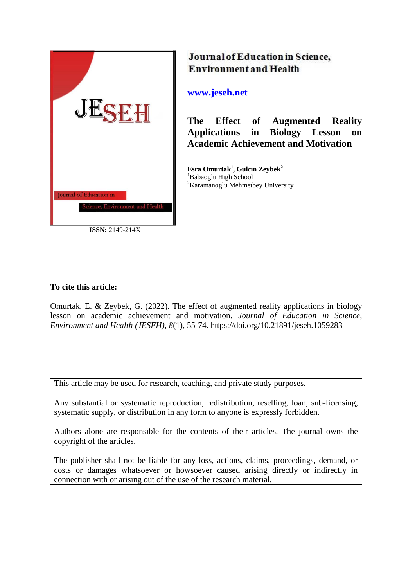

**ISSN:** 2149-214X

# Journal of Education in Science, **Environment and Health**

## **[www.jeseh.net](file:///C:/Users/mustafa/Desktop/www.jeseh.net)**

**The Effect of Augmented Reality Applications in Biology Lesson on Academic Achievement and Motivation**

**Esra Omurtak<sup>1</sup> , Gulcin Zeybek<sup>2</sup>** <sup>1</sup>Babaoglu High School <sup>2</sup>Karamanoglu Mehmetbey University

## **To cite this article:**

Omurtak, E. & Zeybek, G. (2022). The effect of augmented reality applications in biology lesson on academic achievement and motivation. *Journal of Education in Science, Environment and Health (JESEH), 8*(1), 55-74. https://doi.org/10.21891/jeseh.1059283

This article may be used for research, teaching, and private study purposes.

Any substantial or systematic reproduction, redistribution, reselling, loan, sub-licensing, systematic supply, or distribution in any form to anyone is expressly forbidden.

Authors alone are responsible for the contents of their articles. The journal owns the copyright of the articles.

The publisher shall not be liable for any loss, actions, claims, proceedings, demand, or costs or damages whatsoever or howsoever caused arising directly or indirectly in connection with or arising out of the use of the research material.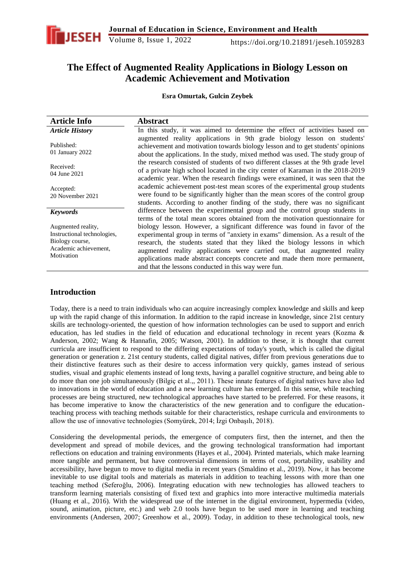

## **The Effect of Augmented Reality Applications in Biology Lesson on Academic Achievement and Motivation**

**Esra Omurtak, Gulcin Zeybek**

| <b>Article Info</b>                                                                                         | <b>Abstract</b>                                                                                                                                                                                                                                                                                                                                                                                                                                               |
|-------------------------------------------------------------------------------------------------------------|---------------------------------------------------------------------------------------------------------------------------------------------------------------------------------------------------------------------------------------------------------------------------------------------------------------------------------------------------------------------------------------------------------------------------------------------------------------|
| <b>Article History</b>                                                                                      | In this study, it was aimed to determine the effect of activities based on                                                                                                                                                                                                                                                                                                                                                                                    |
| Published:<br>01 January 2022                                                                               | augmented reality applications in 9th grade biology lesson on students'<br>achievement and motivation towards biology lesson and to get students' opinions<br>about the applications. In the study, mixed method was used. The study group of                                                                                                                                                                                                                 |
| Received:<br>04 June 2021                                                                                   | the research consisted of students of two different classes at the 9th grade level<br>of a private high school located in the city center of Karaman in the 2018-2019<br>academic year. When the research findings were examined, it was seen that the                                                                                                                                                                                                        |
| Accepted:<br>20 November 2021                                                                               | academic achievement post-test mean scores of the experimental group students<br>were found to be significantly higher than the mean scores of the control group<br>students. According to another finding of the study, there was no significant                                                                                                                                                                                                             |
| <b>Keywords</b>                                                                                             | difference between the experimental group and the control group students in<br>terms of the total mean scores obtained from the motivation questionnaire for                                                                                                                                                                                                                                                                                                  |
| Augmented reality,<br>Instructional technologies,<br>Biology course,<br>Academic achievement,<br>Motivation | biology lesson. However, a significant difference was found in favor of the<br>experimental group in terms of "anxiety in exams" dimension. As a result of the<br>research, the students stated that they liked the biology lessons in which<br>augmented reality applications were carried out, that augmented reality<br>applications made abstract concepts concrete and made them more permanent,<br>and that the lessons conducted in this way were fun. |

## **Introduction**

Today, there is a need to train individuals who can acquire increasingly complex knowledge and skills and keep up with the rapid change of this information. In addition to the rapid increase in knowledge, since 21st century skills are technology-oriented, the question of how information technologies can be used to support and enrich education, has led studies in the field of education and educational technology in recent years (Kozma & Anderson, 2002; Wang & Hannafin, 2005; Watson, 2001). In addition to these, it is thought that current curricula are insufficient to respond to the differing expectations of today's youth, which is called the digital generation or generation z. 21st century students, called digital natives, differ from previous generations due to their distinctive features such as their desire to access information very quickly, games instead of serious studies, visual and graphic elements instead of long texts, having a parallel cognitive structure, and being able to do more than one job simultaneously (Bilgiç et al.,, 2011). These innate features of digital natives have also led to innovations in the world of education and a new learning culture has emerged. In this sense, while teaching processes are being structured, new technological approaches have started to be preferred. For these reasons, it has become imperative to know the characteristics of the new generation and to configure the educationteaching process with teaching methods suitable for their characteristics, reshape curricula and environments to allow the use of innovative technologies (Somyürek, 2014; İzgi Onbaşılı, 2018).

Considering the developmental periods, the emergence of computers first, then the internet, and then the development and spread of mobile devices, and the growing technological transformation had important reflections on education and training environments (Hayes et al., 2004). Printed materials, which make learning more tangible and permanent, but have controversial dimensions in terms of cost, portability, usability and accessibility, have begun to move to digital media in recent years (Smaldino et al., 2019). Now, it has become inevitable to use digital tools and materials as materials in addition to teaching lessons with more than one teaching method (Seferoğlu, 2006). Integrating education with new technologies has allowed teachers to transform learning materials consisting of fixed text and graphics into more interactive multimedia materials (Huang et al., 2016). With the widespread use of the internet in the digital environment, hypermedia (video, sound, animation, picture, etc.) and web 2.0 tools have begun to be used more in learning and teaching environments (Andersen, 2007; Greenhow et al., 2009). Today, in addition to these technological tools, new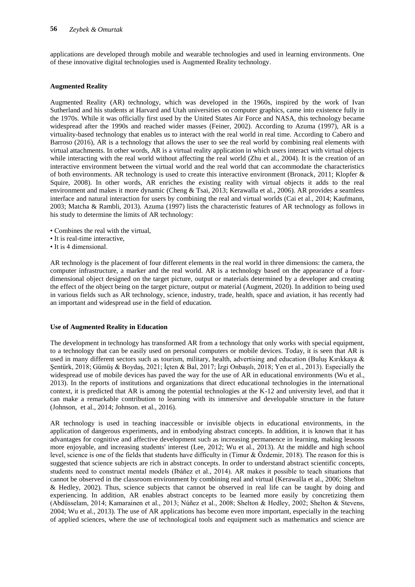applications are developed through mobile and wearable technologies and used in learning environments. One of these innovative digital technologies used is Augmented Reality technology.

#### **Augmented Reality**

Augmented Reality (AR) technology, which was developed in the 1960s, inspired by the work of Ivan Sutherland and his students at Harvard and Utah universities on computer graphics, came into existence fully in the 1970s. While it was officially first used by the United States Air Force and NASA, this technology became widespread after the 1990s and reached wider masses (Feiner, 2002). According to Azuma (1997), AR is a virtuality-based technology that enables us to interact with the real world in real time. According to Cabero and Barroso (2016), AR is a technology that allows the user to see the real world by combining real elements with virtual attachments. In other words, AR is a virtual reality application in which users interact with virtual objects while interacting with the real world without affecting the real world (Zhu et al., 2004). It is the creation of an interactive environment between the virtual world and the real world that can accommodate the characteristics of both environments. AR technology is used to create this interactive environment (Bronack, 2011; Klopfer & Squire, 2008). In other words, AR enriches the existing reality with virtual objects it adds to the real environment and makes it more dynamic (Cheng & Tsai, 2013; Kerawalla et al., 2006). AR provides a seamless interface and natural interaction for users by combining the real and virtual worlds (Cai et al., 2014; Kaufmann, 2003; Matcha & Rambli, 2013). Azuma (1997) lists the characteristic features of AR technology as follows in his study to determine the limits of AR technology:

- Combines the real with the virtual,
- It is real-time interactive,
- It is 4 dimensional.

AR technology is the placement of four different elements in the real world in three dimensions: the camera, the computer infrastructure, a marker and the real world. AR is a technology based on the appearance of a fourdimensional object designed on the target picture, output or materials determined by a developer and creating the effect of the object being on the target picture, output or material (Augment, 2020). In addition to being used in various fields such as AR technology, science, industry, trade, health, space and aviation, it has recently had an important and widespread use in the field of education.

#### **Use of Augmented Reality in Education**

The development in technology has transformed AR from a technology that only works with special equipment, to a technology that can be easily used on personal computers or mobile devices. Today, it is seen that AR is used in many different sectors such as tourism, military, health, advertising and education (Buluş Kırıkkaya & Şentürk, 2018; Gümüş & Boydaş, 2021; İçten & Bal, 2017; İzgi Onbaşılı, 2018; Yen et al., 2013). Especially the widespread use of mobile devices has paved the way for the use of AR in educational environments (Wu et al., 2013). In the reports of institutions and organizations that direct educational technologies in the international context, it is predicted that AR is among the potential technologies at the K-12 and university level, and that it can make a remarkable contribution to learning with its immersive and developable structure in the future (Johnson, et al., 2014; Johnson. et al., 2016).

AR technology is used in teaching inaccessible or invisible objects in educational environments, in the application of dangerous experiments, and in embodying abstract concepts. In addition, it is known that it has advantages for cognitive and affective development such as increasing permanence in learning, making lessons more enjoyable, and increasing students' interest (Lee, 2012; Wu et al., 2013). At the middle and high school level, science is one of the fields that students have difficulty in (Timur & Özdemir, 2018). The reason for this is suggested that science subjects are rich in abstract concepts. In order to understand abstract scientific concepts, students need to construct mental models (Ibáñez et al., 2014). AR makes it possible to teach situations that cannot be observed in the classroom environment by combining real and virtual (Kerawalla et al., 2006; Shelton & Hedley, 2002). Thus, science subjects that cannot be observed in real life can be taught by doing and experiencing. In addition, AR enables abstract concepts to be learned more easily by concretizing them (Abdüsselam, 2014; Kamarainen et al., 2013; Núñez et al., 2008; Shelton & Hedley, 2002; Shelton & Stevens, 2004; Wu et al., 2013). The use of AR applications has become even more important, especially in the teaching of applied sciences, where the use of technological tools and equipment such as mathematics and science are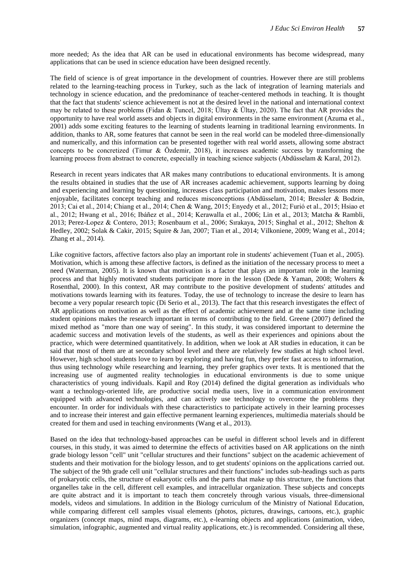more needed; As the idea that AR can be used in educational environments has become widespread, many applications that can be used in science education have been designed recently.

The field of science is of great importance in the development of countries. However there are still problems related to the learning-teaching process in Turkey, such as the lack of integration of learning materials and technology in science education, and the predominance of teacher-centered methods in teaching. It is thought that the fact that students' science achievement is not at the desired level in the national and international context may be related to these problems (Fidan & Tuncel, 2018; Ültay & Ültay, 2020). The fact that AR provides the opportunity to have real world assets and objects in digital environments in the same environment (Azuma et al., 2001) adds some exciting features to the learning of students learning in traditional learning environments. In addition, thanks to AR, some features that cannot be seen in the real world can be modeled three-dimensionally and numerically, and this information can be presented together with real world assets, allowing some abstract concepts to be concretized (Timur & Özdemir, 2018), it increases academic success by transforming the learning process from abstract to concrete, especially in teaching science subjects (Abdüsselam & Karal, 2012).

Research in recent years indicates that AR makes many contributions to educational environments. It is among the results obtained in studies that the use of AR increases academic achievement, supports learning by doing and experiencing and learning by questioning, increases class participation and motivation, makes lessons more enjoyable, facilitates concept teaching and reduces misconceptions (Abdüsselam, 2014; Bressler & Bodzin, 2013; Cai et al., 2014; Chiang et al., 2014; Chen & Wang, 2015; Enyedy et al., 2012; Furió et al., 2015; Hsiao et al., 2012; Hwang et al., 2016; Ibáñez et al., 2014; Kerawalla et al., 2006; Lin et al., 2013; Matcha & Rambli, 2013; Perez-Lopez & Contero, 2013; Rosenbaum et al., 2006; Sırakaya, 2015; Singhal et al., 2012; Shelton & Hedley, 2002; Solak & Cakir, 2015; Squire & Jan, 2007; Tian et al., 2014; Vilkoniene, 2009; Wang et al., 2014; Zhang et al., 2014).

Like cognitive factors, affective factors also play an important role in students' achievement (Tuan et al., 2005). Motivation, which is among these affective factors, is defined as the initiation of the necessary process to meet a need (Waterman, 2005). It is known that motivation is a factor that plays an important role in the learning process and that highly motivated students participate more in the lesson (Dede & Yaman, 2008; Wolters & Rosenthal, 2000). In this context, AR may contribute to the positive development of students' attitudes and motivations towards learning with its features. Today, the use of technology to increase the desire to learn has become a very popular research topic (Di Serio et al., 2013). The fact that this research investigates the effect of AR applications on motivation as well as the effect of academic achievement and at the same time including student opinions makes the research important in terms of contributing to the field. Greene (2007) defined the mixed method as "more than one way of seeing". In this study, it was considered important to determine the academic success and motivation levels of the students, as well as their experiences and opinions about the practice, which were determined quantitatively. In addition, when we look at AR studies in education, it can be said that most of them are at secondary school level and there are relatively few studies at high school level. However, high school students love to learn by exploring and having fun, they prefer fast access to information, thus using technology while researching and learning, they prefer graphics over texts. It is mentioned that the increasing use of augmented reality technologies in educational environments is due to some unique characteristics of young individuals. Kapil and Roy (2014) defined the digital generation as individuals who want a technology-oriented life, are productive social media users, live in a communication environment equipped with advanced technologies, and can actively use technology to overcome the problems they encounter. In order for individuals with these characteristics to participate actively in their learning processes and to increase their interest and gain effective permanent learning experiences, multimedia materials should be created for them and used in teaching environments (Wang et al., 2013).

Based on the idea that technology-based approaches can be useful in different school levels and in different courses, in this study, it was aimed to determine the effects of activities based on AR applications on the ninth grade biology lesson "cell" unit "cellular structures and their functions" subject on the academic achievement of students and their motivation for the biology lesson, and to get students' opinions on the applications carried out. The subject of the 9th grade cell unit "cellular structures and their functions" includes sub-headings such as parts of prokaryotic cells, the structure of eukaryotic cells and the parts that make up this structure, the functions that organelles take in the cell, different cell examples, and intracellular organization. These subjects and concepts are quite abstract and it is important to teach them concretely through various visuals, three-dimensional models, videos and simulations. In addition in the Biology curriculum of the Ministry of National Education, while comparing different cell samples visual elements (photos, pictures, drawings, cartoons, etc.), graphic organizers (concept maps, mind maps, diagrams, etc.), e-learning objects and applications (animation, video, simulation, infographic, augmented and virtual reality applications, etc.) is recommended. Considering all these,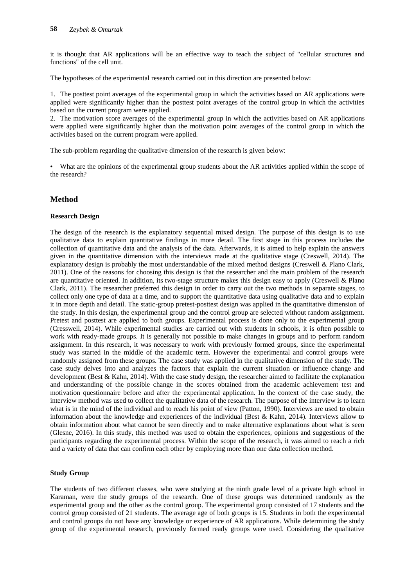it is thought that AR applications will be an effective way to teach the subject of "cellular structures and functions" of the cell unit.

The hypotheses of the experimental research carried out in this direction are presented below:

1. The posttest point averages of the experimental group in which the activities based on AR applications were applied were significantly higher than the posttest point averages of the control group in which the activities based on the current program were applied.

2. The motivation score averages of the experimental group in which the activities based on AR applications were applied were significantly higher than the motivation point averages of the control group in which the activities based on the current program were applied.

The sub-problem regarding the qualitative dimension of the research is given below:

• What are the opinions of the experimental group students about the AR activities applied within the scope of the research?

### **Method**

#### **Research Design**

The design of the research is the explanatory sequential mixed design. The purpose of this design is to use qualitative data to explain quantitative findings in more detail. The first stage in this process includes the collection of quantitative data and the analysis of the data. Afterwards, it is aimed to help explain the answers given in the quantitative dimension with the interviews made at the qualitative stage (Creswell, 2014). The explanatory design is probably the most understandable of the mixed method designs (Creswell & Plano Clark, 2011). One of the reasons for choosing this design is that the researcher and the main problem of the research are quantitative oriented. In addition, its two-stage structure makes this design easy to apply (Creswell & Plano Clark, 2011). The researcher preferred this design in order to carry out the two methods in separate stages, to collect only one type of data at a time, and to support the quantitative data using qualitative data and to explain it in more depth and detail. The static-group pretest-posttest design was applied in the quantitative dimension of the study. In this design, the experimental group and the control group are selected without random assignment. Pretest and posttest are applied to both groups. Experimental process is done only to the experimental group (Cresswell, 2014). While experimental studies are carried out with students in schools, it is often possible to work with ready-made groups. It is generally not possible to make changes in groups and to perform random assignment. In this research, it was necessary to work with previously formed groups, since the experimental study was started in the middle of the academic term. However the experimental and control groups were randomly assigned from these groups. The case study was applied in the qualitative dimension of the study. The case study delves into and analyzes the factors that explain the current situation or influence change and development (Best & Kahn, 2014). With the case study design, the researcher aimed to facilitate the explanation and understanding of the possible change in the scores obtained from the academic achievement test and motivation questionnaire before and after the experimental application. In the context of the case study, the interview method was used to collect the qualitative data of the research. The purpose of the interview is to learn what is in the mind of the individual and to reach his point of view (Patton, 1990). Interviews are used to obtain information about the knowledge and experiences of the individual (Best & Kahn, 2014). Interviews allow to obtain information about what cannot be seen directly and to make alternative explanations about what is seen (Glesne, 2016). In this study, this method was used to obtain the experiences, opinions and suggestions of the participants regarding the experimental process. Within the scope of the research, it was aimed to reach a rich and a variety of data that can confirm each other by employing more than one data collection method.

#### **Study Group**

The students of two different classes, who were studying at the ninth grade level of a private high school in Karaman, were the study groups of the research. One of these groups was determined randomly as the experimental group and the other as the control group. The experimental group consisted of 17 students and the control group consisted of 21 students. The average age of both groups is 15. Students in both the experimental and control groups do not have any knowledge or experience of AR applications. While determining the study group of the experimental research, previously formed ready groups were used. Considering the qualitative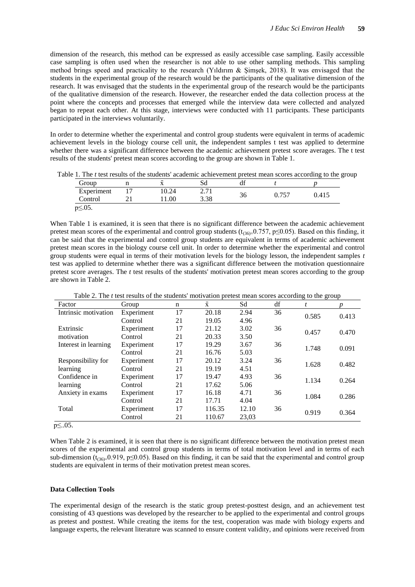dimension of the research, this method can be expressed as easily accessible case sampling. Easily accessible case sampling is often used when the researcher is not able to use other sampling methods. This sampling method brings speed and practicality to the research (Yıldırım & Şimşek, 2018). It was envisaged that the students in the experimental group of the research would be the participants of the qualitative dimension of the research. It was envisaged that the students in the experimental group of the research would be the participants of the qualitative dimension of the research. However, the researcher ended the data collection process at the point where the concepts and processes that emerged while the interview data were collected and analyzed began to repeat each other. At this stage, interviews were conducted with 11 participants. These participants participated in the interviews voluntarily.

In order to determine whether the experimental and control group students were equivalent in terms of academic achievement levels in the biology course cell unit, the independent samples t test was applied to determine whether there was a significant difference between the academic achievement pretest score averages. The t test results of the students' pretest mean scores according to the group are shown in Table 1.

Table 1. The *t* test results of the students' academic achievement pretest mean scores according to the group

| Group         | $\overline{\phantom{0}}$<br>∡⊾ | Sđ                                       | $\cdot$<br>u |       |       |
|---------------|--------------------------------|------------------------------------------|--------------|-------|-------|
| Experiment    | 10.24<br>.∪.∠⊤                 | $\sim$ 71<br>$\sim$ $\sim$ $\sim$ $\sim$ | ⌒.           | ሰ 757 | 0.415 |
| Control       | .00                            | 3.38                                     | 30           |       |       |
| $p \ge 0.5$ . |                                |                                          |              |       |       |

When Table 1 is examined, it is seen that there is no significant difference between the academic achievement pretest mean scores of the experimental and control group students ( $t_{(36)=}0.757$ , p $\leq 0.05$ ). Based on this finding, it can be said that the experimental and control group students are equivalent in terms of academic achievement pretest mean scores in the biology course cell unit. In order to determine whether the experimental and control group students were equal in terms of their motivation levels for the biology lesson, the independent samples *t* test was applied to determine whether there was a significant difference between the motivation questionnaire pretest score averages. The *t* test results of the students' motivation pretest mean scores according to the group are shown in Table 2.

| Factor               | Group      | $\mathbf n$ | $\bar{\textbf{x}}$ | Sd    | df | ־־ כ<br>°<br>t | p     |
|----------------------|------------|-------------|--------------------|-------|----|----------------|-------|
| Intrinsic motivation | Experiment | 17          | 20.18              | 2.94  | 36 | 0.585          | 0.413 |
|                      | Control    | 21          | 19.05              | 4.96  |    |                |       |
| Extrinsic            | Experiment | 17          | 21.12              | 3.02  | 36 | 0.457          | 0.470 |
| motivation           | Control    | 21          | 20.33              | 3.50  |    |                |       |
| Interest in learning | Experiment | 17          | 19.29              | 3.67  | 36 | 1.748          | 0.091 |
|                      | Control    | 21          | 16.76              | 5.03  |    |                |       |
| Responsibility for   | Experiment | 17          | 20.12              | 3.24  | 36 | 1.628          | 0.482 |
| learning             | Control    | 21          | 19.19              | 4.51  |    |                |       |
| Confidence in        | Experiment | 17          | 19.47              | 4.93  | 36 | 1.134          | 0.264 |
| learning             | Control    | 21          | 17.62              | 5.06  |    |                |       |
| Anxiety in exams     | Experiment | 17          | 16.18              | 4.71  | 36 | 1.084          | 0.286 |
|                      | Control    | 21          | 17.71              | 4.04  |    |                |       |
| Total                | Experiment | 17          | 116.35             | 12.10 | 36 | 0.919          | 0.364 |
|                      | Control    | 21          | 110.67             | 23,03 |    |                |       |

Table 2. The *t* test results of the students' motivation pretest mean scores according to the group

p≤..05.

When Table 2 is examined, it is seen that there is no significant difference between the motivation pretest mean scores of the experimental and control group students in terms of total motivation level and in terms of each sub-dimension ( $t_{(36)}=0.919$ ,  $p\leq 0.05$ ). Based on this finding, it can be said that the experimental and control group students are equivalent in terms of their motivation pretest mean scores.

#### **Data Collection Tools**

The experimental design of the research is the static group pretest-posttest design, and an achievement test consisting of 43 questions was developed by the researcher to be applied to the experimental and control groups as pretest and posttest. While creating the items for the test, cooperation was made with biology experts and language experts, the relevant literature was scanned to ensure content validity, and opinions were received from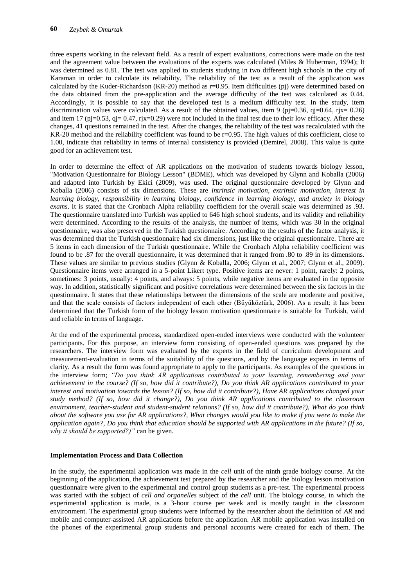three experts working in the relevant field. As a result of expert evaluations, corrections were made on the test and the agreement value between the evaluations of the experts was calculated (Miles & Huberman, 1994); It was determined as 0.81. The test was applied to students studying in two different high schools in the city of Karaman in order to calculate its reliability. The reliability of the test as a result of the application was calculated by the Kuder-Richardson (KR-20) method as  $r=0.95$ . Item difficulties (pj) were determined based on the data obtained from the pre-application and the average difficulty of the test was calculated as 0.44. Accordingly, it is possible to say that the developed test is a medium difficulty test. In the study, item discrimination values were calculated. As a result of the obtained values, item 9 (pj=0.36, qj=0.64, rjx= 0.26) and item 17 (pj=0.53, qj= 0.47, rjx=0.29) were not included in the final test due to their low efficacy. After these changes, 41 questions remained in the test. After the changes, the reliability of the test was recalculated with the KR-20 method and the reliability coefficient was found to be r=0.95. The high values of this coefficient, close to 1.00, indicate that reliability in terms of internal consistency is provided (Demirel, 2008). This value is quite good for an achievement test.

In order to determine the effect of AR applications on the motivation of students towards biology lesson, "Motivation Questionnaire for Biology Lesson" (BDME), which was developed by Glynn and Koballa (2006) and adapted into Turkish by Ekici (2009), was used. The original questionnaire developed by Glynn and Koballa (2006) consists of six dimensions. These are *intrinsic motivation, extrinsic motivation, interest in learning biology, responsibility in learning biology, confidence in learning biology, and anxiety in biology exams*. It is stated that the Cronbach Alpha reliability coefficient for the overall scale was determined as .93. The questionnaire translated into Turkish was applied to 646 high school students, and its validity and reliability were determined. According to the results of the analysis, the number of items, which was 30 in the original questionnaire, was also preserved in the Turkish questionnaire. According to the results of the factor analysis, it was determined that the Turkish questionnaire had six dimensions, just like the original questionnaire. There are 5 items in each dimension of the Turkish questionnaire. While the Cronbach Alpha reliability coefficient was found to be .87 for the overall questionnaire, it was determined that it ranged from .80 to .89 in its dimensions. These values are similar to previous studies (Glynn & Koballa, 2006; Glynn et al., 2007; Glynn et al., 2009). Questionnaire items were arranged in a 5-point Likert type. Positive items are never: 1 point, rarely: 2 points, sometimes: 3 points, usually: 4 points, and always: 5 points, while negative items are evaluated in the opposite way. In addition, statistically significant and positive correlations were determined between the six factors in the questionnaire. It states that these relationships between the dimensions of the scale are moderate and positive, and that the scale consists of factors independent of each other (Büyüköztürk, 2006). As a result; it has been determined that the Turkish form of the biology lesson motivation questionnaire is suitable for Turkish, valid and reliable in terms of language.

At the end of the experimental process, standardized open-ended interviews were conducted with the volunteer participants. For this purpose, an interview form consisting of open-ended questions was prepared by the researchers. The interview form was evaluated by the experts in the field of curriculum development and measurement-evaluation in terms of the suitability of the questions, and by the language experts in terms of clarity. As a result the form was found appropriate to apply to the participants. As examples of the questions in the interview form; *"Do you think AR applications contributed to your learning, remembering and your achievement in the course? (If so, how did it contribute?), Do you think AR applications contributed to your interest and motivation towards the lesson? (If so, how did it contribute?), Have AR applications changed your study method? (If so, how did it change?), Do you think AR applications contributed to the classroom environment, teacher-student and student-student relations? (If so, how did it contribute?), What do you think about the software you use for AR applications?, What changes would you like to make if you were to make the application again?, Do you think that education should be supported with AR applications in the future? (If so, why it should be supported?)"* can be given.

#### **Implementation Process and Data Collection**

In the study, the experimental application was made in the *cell* unit of the ninth grade biology course. At the beginning of the application, the achievement test prepared by the researcher and the biology lesson motivation questionnaire were given to the experimental and control group students as a pre-test. The experimental process was started with the subject of *cell and organelles* subject of the *cell* unit. The biology course, in which the experimental application is made, is a 3-hour course per week and is mostly taught in the classroom environment. The experimental group students were informed by the researcher about the definition of *AR* and mobile and computer-assisted AR applications before the application. AR mobile application was installed on the phones of the experimental group students and personal accounts were created for each of them. The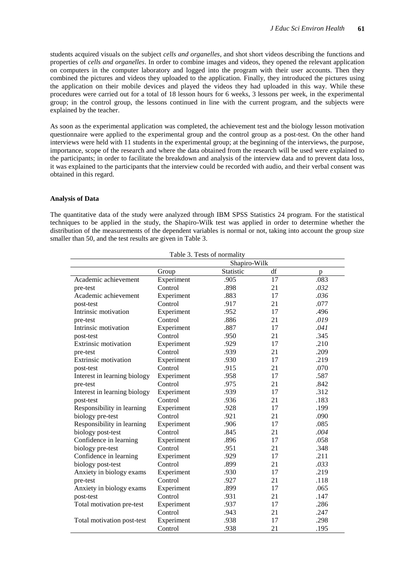students acquired visuals on the subject *cells and organelles*, and shot short videos describing the functions and properties of *cells and organelles*. In order to combine images and videos, they opened the relevant application on computers in the computer laboratory and logged into the program with their user accounts. Then they combined the pictures and videos they uploaded to the application. Finally, they introduced the pictures using the application on their mobile devices and played the videos they had uploaded in this way. While these procedures were carried out for a total of 18 lesson hours for 6 weeks, 3 lessons per week, in the experimental group; in the control group, the lessons continued in line with the current program, and the subjects were explained by the teacher.

As soon as the experimental application was completed, the achievement test and the biology lesson motivation questionnaire were applied to the experimental group and the control group as a post-test. On the other hand interviews were held with 11 students in the experimental group; at the beginning of the interviews, the purpose, importance, scope of the research and where the data obtained from the research will be used were explained to the participants; in order to facilitate the breakdown and analysis of the interview data and to prevent data loss, it was explained to the participants that the interview could be recorded with audio, and their verbal consent was obtained in this regard.

#### **Analysis of Data**

The quantitative data of the study were analyzed through IBM SPSS Statistics 24 program. For the statistical techniques to be applied in the study, the Shapiro-Wilk test was applied in order to determine whether the distribution of the measurements of the dependent variables is normal or not, taking into account the group size smaller than 50, and the test results are given in Table 3.

| Table 3. Tests of normality  |            |                  |    |      |  |  |
|------------------------------|------------|------------------|----|------|--|--|
|                              |            | Shapiro-Wilk     |    |      |  |  |
|                              | Group      | <b>Statistic</b> | df | p    |  |  |
| Academic achievement         | Experiment | .905             | 17 | .083 |  |  |
| pre-test                     | Control    | .898             | 21 | .032 |  |  |
| Academic achievement         | Experiment | .883             | 17 | .036 |  |  |
| post-test                    | Control    | .917             | 21 | .077 |  |  |
| Intrinsic motivation         | Experiment | .952             | 17 | .496 |  |  |
| pre-test                     | Control    | .886             | 21 | .019 |  |  |
| Intrinsic motivation         | Experiment | .887             | 17 | .041 |  |  |
| post-test                    | Control    | .950             | 21 | .345 |  |  |
| <b>Extrinsic motivation</b>  | Experiment | .929             | 17 | .210 |  |  |
| pre-test                     | Control    | .939             | 21 | .209 |  |  |
| <b>Extrinsic motivation</b>  | Experiment | .930             | 17 | .219 |  |  |
| post-test                    | Control    | .915             | 21 | .070 |  |  |
| Interest in learning biology | Experiment | .958             | 17 | .587 |  |  |
| pre-test                     | Control    | .975             | 21 | .842 |  |  |
| Interest in learning biology | Experiment | .939             | 17 | .312 |  |  |
| post-test                    | Control    | .936             | 21 | .183 |  |  |
| Responsibility in learning   | Experiment | .928             | 17 | .199 |  |  |
| biology pre-test             | Control    | .921             | 21 | .090 |  |  |
| Responsibility in learning   | Experiment | .906             | 17 | .085 |  |  |
| biology post-test            | Control    | .845             | 21 | .004 |  |  |
| Confidence in learning       | Experiment | .896             | 17 | .058 |  |  |
| biology pre-test             | Control    | .951             | 21 | .348 |  |  |
| Confidence in learning       | Experiment | .929             | 17 | .211 |  |  |
| biology post-test            | Control    | .899             | 21 | .033 |  |  |
| Anxiety in biology exams     | Experiment | .930             | 17 | .219 |  |  |
| pre-test                     | Control    | .927             | 21 | .118 |  |  |
| Anxiety in biology exams     | Experiment | .899             | 17 | .065 |  |  |
| post-test                    | Control    | .931             | 21 | .147 |  |  |
| Total motivation pre-test    | Experiment | .937             | 17 | .286 |  |  |
|                              | Control    | .943             | 21 | .247 |  |  |
| Total motivation post-test   | Experiment | .938             | 17 | .298 |  |  |
|                              | Control    | .938             | 21 | .195 |  |  |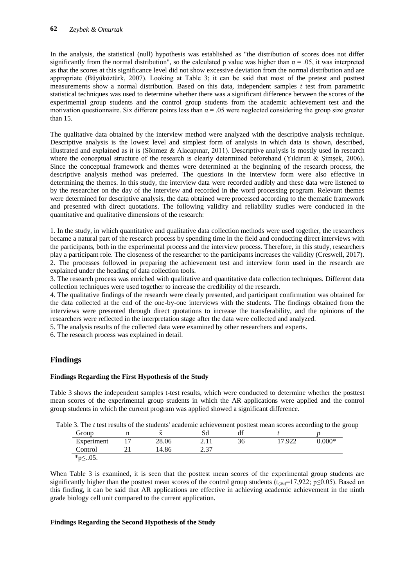In the analysis, the statistical (null) hypothesis was established as "the distribution of scores does not differ significantly from the normal distribution", so the calculated p value was higher than  $\alpha = .05$ , it was interpreted as that the scores at this significance level did not show excessive deviation from the normal distribution and are appropriate (Büyüköztürk, 2007). Looking at Table 3; it can be said that most of the pretest and posttest measurements show a normal distribution. Based on this data, independent samples *t* test from parametric statistical techniques was used to determine whether there was a significant difference between the scores of the experimental group students and the control group students from the academic achievement test and the motivation questionnaire. Six different points less than  $\alpha = .05$  were neglected considering the group size greater than 15.

The qualitative data obtained by the interview method were analyzed with the descriptive analysis technique. Descriptive analysis is the lowest level and simplest form of analysis in which data is shown, described, illustrated and explained as it is (Sönmez & Alacapınar, 2011). Descriptive analysis is mostly used in research where the conceptual structure of the research is clearly determined beforehand (Yıldırım & Simsek, 2006). Since the conceptual framework and themes were determined at the beginning of the research process, the descriptive analysis method was preferred. The questions in the interview form were also effective in determining the themes. In this study, the interview data were recorded audibly and these data were listened to by the researcher on the day of the interview and recorded in the word processing program. Relevant themes were determined for descriptive analysis, the data obtained were processed according to the thematic framework and presented with direct quotations. The following validity and reliability studies were conducted in the quantitative and qualitative dimensions of the research:

1. In the study, in which quantitative and qualitative data collection methods were used together, the researchers became a natural part of the research process by spending time in the field and conducting direct interviews with the participants, both in the experimental process and the interview process. Therefore, in this study, researchers play a participant role. The closeness of the researcher to the participants increases the validity (Creswell, 2017). 2. The processes followed in preparing the achievement test and interview form used in the research are explained under the heading of data collection tools.

3. The research process was enriched with qualitative and quantitative data collection techniques. Different data collection techniques were used together to increase the credibility of the research.

4. The qualitative findings of the research were clearly presented, and participant confirmation was obtained for the data collected at the end of the one-by-one interviews with the students. The findings obtained from the interviews were presented through direct quotations to increase the transferability, and the opinions of the researchers were reflected in the interpretation stage after the data were collected and analyzed.

5. The analysis results of the collected data were examined by other researchers and experts.

6. The research process was explained in detail.

## **Findings**

#### **Findings Regarding the First Hypothesis of the Study**

Table 3 shows the independent samples t-test results, which were conducted to determine whether the posttest mean scores of the experimental group students in which the AR applications were applied and the control group students in which the current program was applied showed a significant difference.

| Table 3. The $t$ test results of the students' academic achievement posttest mean scores according to the group |  |
|-----------------------------------------------------------------------------------------------------------------|--|
|-----------------------------------------------------------------------------------------------------------------|--|

| Group      | <br>$\overline{\phantom{0}}$<br>$\Lambda$ | Sd          | df |      |          |
|------------|-------------------------------------------|-------------|----|------|----------|
| Experiment | 28.06                                     |             | 36 | .922 | $0.000*$ |
| Control    | 14.86                                     | C 27<br>. ت |    |      |          |
| * $p$ ≤05. |                                           |             |    |      |          |

When Table 3 is examined, it is seen that the posttest mean scores of the experimental group students are significantly higher than the posttest mean scores of the control group students ( $t_{(36)}=17,922$ ; p $\leq 0.05$ ). Based on this finding, it can be said that AR applications are effective in achieving academic achievement in the ninth grade biology cell unit compared to the current application.

#### **Findings Regarding the Second Hypothesis of the Study**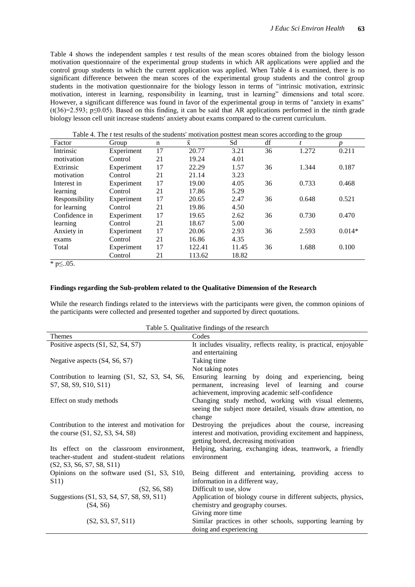Table 4 shows the independent samples *t* test results of the mean scores obtained from the biology lesson motivation questionnaire of the experimental group students in which AR applications were applied and the control group students in which the current application was applied. When Table 4 is examined, there is no significant difference between the mean scores of the experimental group students and the control group students in the motivation questionnaire for the biology lesson in terms of "intrinsic motivation, extrinsic motivation, interest in learning, responsibility in learning, trust in learning" dimensions and total score. However, a significant difference was found in favor of the experimental group in terms of "anxiety in exams" (t(36)=2.593; p≤0.05). Based on this finding, it can be said that AR applications performed in the ninth grade biology lesson cell unit increase students' anxiety about exams compared to the current curriculum.

| Factor         | Twie it the <i>t</i> test results of the statemes motivation position mean scores according to the group<br>Group | n  | $\bar{x}$ | Sd    | df | t     | n        |
|----------------|-------------------------------------------------------------------------------------------------------------------|----|-----------|-------|----|-------|----------|
| Intrinsic      | Experiment                                                                                                        | 17 | 20.77     | 3.21  | 36 | 1.272 | 0.211    |
| motivation     | Control                                                                                                           | 21 | 19.24     | 4.01  |    |       |          |
| Extrinsic      | Experiment                                                                                                        | 17 | 22.29     | 1.57  | 36 | 1.344 | 0.187    |
| motivation     | Control                                                                                                           | 21 | 21.14     | 3.23  |    |       |          |
| Interest in    | Experiment                                                                                                        | 17 | 19.00     | 4.05  | 36 | 0.733 | 0.468    |
| learning       | Control                                                                                                           | 21 | 17.86     | 5.29  |    |       |          |
| Responsibility | Experiment                                                                                                        | 17 | 20.65     | 2.47  | 36 | 0.648 | 0.521    |
| for learning   | Control                                                                                                           | 21 | 19.86     | 4.50  |    |       |          |
| Confidence in  | Experiment                                                                                                        | 17 | 19.65     | 2.62  | 36 | 0.730 | 0.470    |
| learning       | Control                                                                                                           | 21 | 18.67     | 5.00  |    |       |          |
| Anxiety in     | Experiment                                                                                                        | 17 | 20.06     | 2.93  | 36 | 2.593 | $0.014*$ |
| exams          | Control                                                                                                           | 21 | 16.86     | 4.35  |    |       |          |
| Total          | Experiment                                                                                                        | 17 | 122.41    | 11.45 | 36 | 1.688 | 0.100    |
|                | Control                                                                                                           | 21 | 113.62    | 18.82 |    |       |          |

Table 4. The *t* test results of the students' motivation posttest mean scores according to the group

 $*$  p≤..05.

#### **Findings regarding the Sub-problem related to the Qualitative Dimension of the Research**

While the research findings related to the interviews with the participants were given, the common opinions of the participants were collected and presented together and supported by direct quotations.

| Table 5. Qualitative findings of the research |  |  |
|-----------------------------------------------|--|--|
|                                               |  |  |

| Themes                                                                                                                 | Codes                                                                                                                                                                           |
|------------------------------------------------------------------------------------------------------------------------|---------------------------------------------------------------------------------------------------------------------------------------------------------------------------------|
| Positive aspects (S1, S2, S4, S7)                                                                                      | It includes visuality, reflects reality, is practical, enjoyable<br>and entertaining                                                                                            |
| Negative aspects (S4, S6, S7)                                                                                          | Taking time                                                                                                                                                                     |
| Contribution to learning (S1, S2, S3, S4, S6,<br>S7, S8, S9, S10, S11)                                                 | Not taking notes<br>Ensuring learning by doing and experiencing, being<br>permanent, increasing level of learning and course<br>achievement, improving academic self-confidence |
| Effect on study methods                                                                                                | Changing study method, working with visual elements,<br>seeing the subject more detailed, visuals draw attention, no<br>change                                                  |
| Contribution to the interest and motivation for<br>the course $(S1, S2, S3, S4, S8)$                                   | Destroying the prejudices about the course, increasing<br>interest and motivation, providing excitement and happiness,<br>getting bored, decreasing motivation                  |
| Its effect on the classroom environment,<br>teacher-student and student-student relations<br>(S2, S3, S6, S7, S8, S11) | Helping, sharing, exchanging ideas, teamwork, a friendly<br>environment                                                                                                         |
| Opinions on the software used (S1, S3, S10,<br>S <sub>1</sub> <sup>1</sup>                                             | Being different and entertaining, providing access to<br>information in a different way,                                                                                        |
| (S2, S6, S8)                                                                                                           | Difficult to use, slow                                                                                                                                                          |
| Suggestions (S1, S3, S4, S7, S8, S9, S11)<br>(S4, S6)                                                                  | Application of biology course in different subjects, physics,<br>chemistry and geography courses.                                                                               |
| (S2, S3, S7, S11)                                                                                                      | Giving more time<br>Similar practices in other schools, supporting learning by<br>doing and experiencing                                                                        |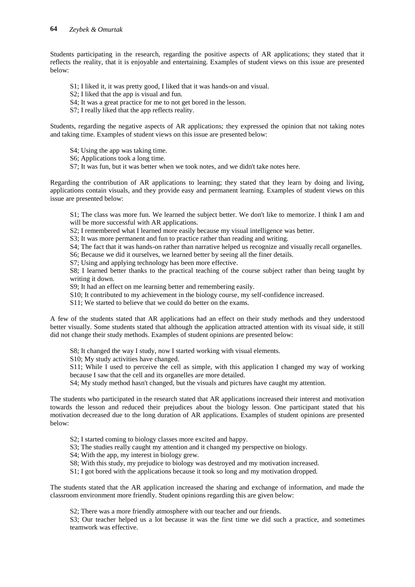Students participating in the research, regarding the positive aspects of AR applications; they stated that it reflects the reality, that it is enjoyable and entertaining. Examples of student views on this issue are presented below:

- S1; I liked it, it was pretty good, I liked that it was hands-on and visual.
- S2; I liked that the app is visual and fun.
- S4; It was a great practice for me to not get bored in the lesson.
- S7; I really liked that the app reflects reality.

Students, regarding the negative aspects of AR applications; they expressed the opinion that not taking notes and taking time. Examples of student views on this issue are presented below:

S4; Using the app was taking time.

- S6; Applications took a long time.
- S7; It was fun, but it was better when we took notes, and we didn't take notes here.

Regarding the contribution of AR applications to learning; they stated that they learn by doing and living, applications contain visuals, and they provide easy and permanent learning. Examples of student views on this issue are presented below:

S1; The class was more fun. We learned the subject better. We don't like to memorize. I think I am and will be more successful with AR applications.

S2; I remembered what I learned more easily because my visual intelligence was better.

S3; It was more permanent and fun to practice rather than reading and writing.

S4; The fact that it was hands-on rather than narrative helped us recognize and visually recall organelles.

S6; Because we did it ourselves, we learned better by seeing all the finer details.

S7; Using and applying technology has been more effective.

S8; I learned better thanks to the practical teaching of the course subject rather than being taught by writing it down.

S9; It had an effect on me learning better and remembering easily.

- S10; It contributed to my achievement in the biology course, my self-confidence increased.
- S11; We started to believe that we could do better on the exams.

A few of the students stated that AR applications had an effect on their study methods and they understood better visually. Some students stated that although the application attracted attention with its visual side, it still did not change their study methods. Examples of student opinions are presented below:

S8; It changed the way I study, now I started working with visual elements.

S10; My study activities have changed.

S11; While I used to perceive the cell as simple, with this application I changed my way of working because I saw that the cell and its organelles are more detailed.

S4; My study method hasn't changed, but the visuals and pictures have caught my attention.

The students who participated in the research stated that AR applications increased their interest and motivation towards the lesson and reduced their prejudices about the biology lesson. One participant stated that his motivation decreased due to the long duration of AR applications. Examples of student opinions are presented below:

S2; I started coming to biology classes more excited and happy.

- S3; The studies really caught my attention and it changed my perspective on biology.
- S4; With the app, my interest in biology grew.
- S8; With this study, my prejudice to biology was destroyed and my motivation increased.
- S1; I got bored with the applications because it took so long and my motivation dropped.

The students stated that the AR application increased the sharing and exchange of information, and made the classroom environment more friendly. Student opinions regarding this are given below:

S2; There was a more friendly atmosphere with our teacher and our friends.

S3; Our teacher helped us a lot because it was the first time we did such a practice, and sometimes teamwork was effective.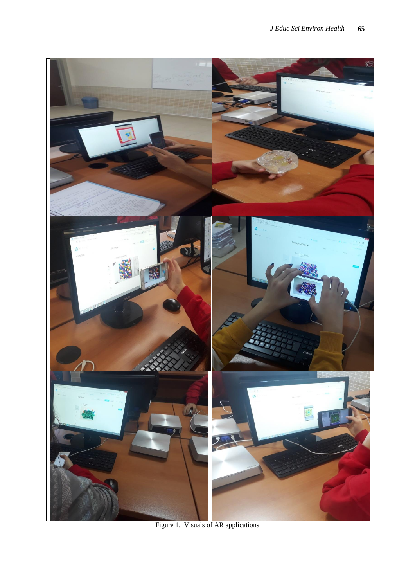

Figure 1. Visuals of AR applications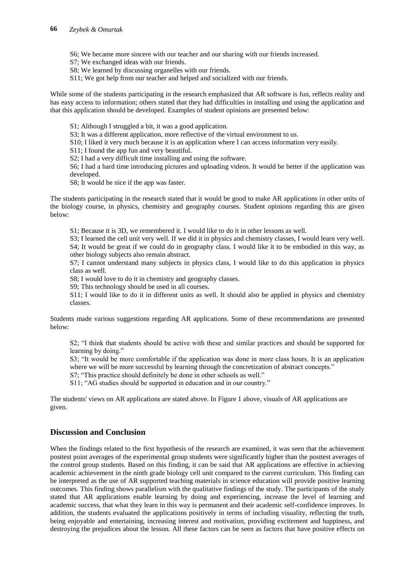S6; We became more sincere with our teacher and our sharing with our friends increased.

S7; We exchanged ideas with our friends.

S8; We learned by discussing organelles with our friends.

S11; We got help from our teacher and helped and socialized with our friends.

While some of the students participating in the research emphasized that AR software is fun, reflects reality and has easy access to information; others stated that they had difficulties in installing and using the application and that this application should be developed. Examples of student opinions are presented below:

S1; Although I struggled a bit, it was a good application.

S3; It was a different application, more reflective of the virtual environment to us.

S10; I liked it very much because it is an application where I can access information very easily.

S11; I found the app fun and very beautiful.

S2; I had a very difficult time installing and using the software.

S6; I had a hard time introducing pictures and uploading videos. It would be better if the application was developed.

S8; It would be nice if the app was faster.

The students participating in the research stated that it would be good to make AR applications in other units of the biology course, in physics, chemistry and geography courses. Student opinions regarding this are given below:

S1; Because it is 3D, we remembered it. I would like to do it in other lessons as well.

S3; I learned the cell unit very well. If we did it in physics and chemistry classes, I would learn very well. S4; It would be great if we could do in geography class. I would like it to be embodied in this way, as other biology subjects also remain abstract.

S7; I cannot understand many subjects in physics class, I would like to do this application in physics class as well.

S8; I would love to do it in chemistry and geography classes.

S9; This technology should be used in all courses.

S11; I would like to do it in different units as well. It should also be applied in physics and chemistry classes.

Students made various suggestions regarding AR applications. Some of these recommendations are presented below:

S2; "I think that students should be active with these and similar practices and should be supported for learning by doing."

S3; "It would be more comfortable if the application was done in more class hours. It is an application where we will be more successful by learning through the concretization of abstract concepts."

S7; "This practice should definitely be done in other schools as well."

S11; "AG studies should be supported in education and in our country."

The students' views on AR applications are stated above. In Figure 1 above, visuals of AR applications are given.

### **Discussion and Conclusion**

When the findings related to the first hypothesis of the research are examined, it was seen that the achievement posttest point averages of the experimental group students were significantly higher than the posttest averages of the control group students. Based on this finding, it can be said that AR applications are effective in achieving academic achievement in the ninth grade biology cell unit compared to the current curriculum. This finding can be interpreted as the use of AR supported teaching materials in science education will provide positive learning outcomes. This finding shows parallelism with the qualitative findings of the study. The participants of the study stated that AR applications enable learning by doing and experiencing, increase the level of learning and academic success, that what they learn in this way is permanent and their academic self-confidence improves. In addition, the students evaluated the applications positively in terms of including visuality, reflecting the truth, being enjoyable and entertaining, increasing interest and motivation, providing excitement and happiness, and destroying the prejudices about the lesson. All these factors can be seen as factors that have positive effects on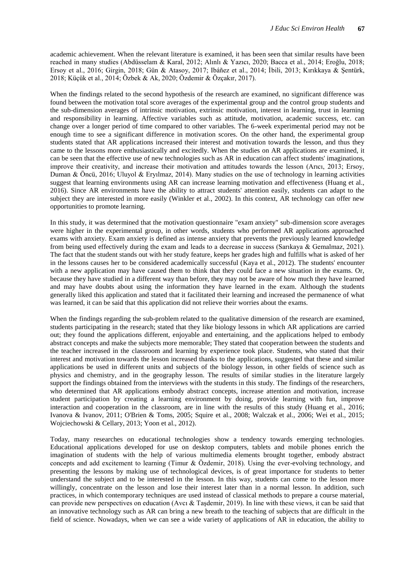academic achievement. When the relevant literature is examined, it has been seen that similar results have been reached in many studies (Abdüsselam & Karal, 2012; Alınlı & Yazıcı, 2020; Bacca et al., 2014; Eroğlu, 2018; Ersoy et al., 2016; Girgin, 2018; Gün & Atasoy, 2017; Ibáñez et al., 2014; İbili, 2013; Kırıkkaya & Şentürk, 2018; Küçük et al., 2014; Özbek & Ak, 2020; Özdemir & Özçakır, 2017).

When the findings related to the second hypothesis of the research are examined, no significant difference was found between the motivation total score averages of the experimental group and the control group students and the sub-dimension averages of intrinsic motivation, extrinsic motivation, interest in learning, trust in learning and responsibility in learning. Affective variables such as attitude, motivation, academic success, etc. can change over a longer period of time compared to other variables. The 6-week experimental period may not be enough time to see a significant difference in motivation scores. On the other hand, the experimental group students stated that AR applications increased their interest and motivation towards the lesson, and thus they came to the lessons more enthusiastically and excitedly. When the studies on AR applications are examined, it can be seen that the effective use of new technologies such as AR in education can affect students' imaginations, improve their creativity, and increase their motivation and attitudes towards the lesson (Arıcı, 2013; Ersoy, Duman & Öncü, 2016; Uluyol & Eryılmaz, 2014). Many studies on the use of technology in learning activities suggest that learning environments using AR can increase learning motivation and effectiveness (Huang et al., 2016). Since AR environments have the ability to attract students' attention easily, students can adapt to the subject they are interested in more easily (Winkler et al., 2002). In this context, AR technology can offer new opportunities to promote learning.

In this study, it was determined that the motivation questionnaire "exam anxiety" sub-dimension score averages were higher in the experimental group, in other words, students who performed AR applications approached exams with anxiety. Exam anxiety is defined as intense anxiety that prevents the previously learned knowledge from being used effectively during the exam and leads to a decrease in success (Sarıkaya & Gemalmaz, 2021). The fact that the student stands out with her study feature, keeps her grades high and fulfills what is asked of her in the lessons causes her to be considered academically successful (Kaya et al., 2012). The students' encounter with a new application may have caused them to think that they could face a new situation in the exams. Or, because they have studied in a different way than before, they may not be aware of how much they have learned and may have doubts about using the information they have learned in the exam. Although the students generally liked this application and stated that it facilitated their learning and increased the permanence of what was learned, it can be said that this application did not relieve their worries about the exams.

When the findings regarding the sub-problem related to the qualitative dimension of the research are examined, students participating in the research; stated that they like biology lessons in which AR applications are carried out; they found the applications different, enjoyable and entertaining, and the applications helped to embody abstract concepts and make the subjects more memorable; They stated that cooperation between the students and the teacher increased in the classroom and learning by experience took place. Students, who stated that their interest and motivation towards the lesson increased thanks to the applications, suggested that these and similar applications be used in different units and subjects of the biology lesson, in other fields of science such as physics and chemistry, and in the geography lesson. The results of similar studies in the literature largely support the findings obtained from the interviews with the students in this study. The findings of the researchers, who determined that AR applications embody abstract concepts, increase attention and motivation, increase student participation by creating a learning environment by doing, provide learning with fun, improve interaction and cooperation in the classroom, are in line with the results of this study (Huang et al., 2016; Ivanova & Ivanov, 2011; O'Brien & Toms, 2005; Squire et al., 2008; Walczak et al., 2006; Wei et al., 2015; Wojciechowski & Cellary, 2013; Yoon et al., 2012).

Today, many researches on educational technologies show a tendency towards emerging technologies. Educational applications developed for use on desktop computers, tablets and mobile phones enrich the imagination of students with the help of various multimedia elements brought together, embody abstract concepts and add excitement to learning (Timur & Özdemir, 2018). Using the ever-evolving technology, and presenting the lessons by making use of technological devices, is of great importance for students to better understand the subject and to be interested in the lesson. In this way, students can come to the lesson more willingly, concentrate on the lesson and lose their interest later than in a normal lesson. In addition, such practices, in which contemporary techniques are used instead of classical methods to prepare a course material, can provide new perspectives on education (Avcı & Taşdemir, 2019). In line with these views, it can be said that an innovative technology such as AR can bring a new breath to the teaching of subjects that are difficult in the field of science. Nowadays, when we can see a wide variety of applications of AR in education, the ability to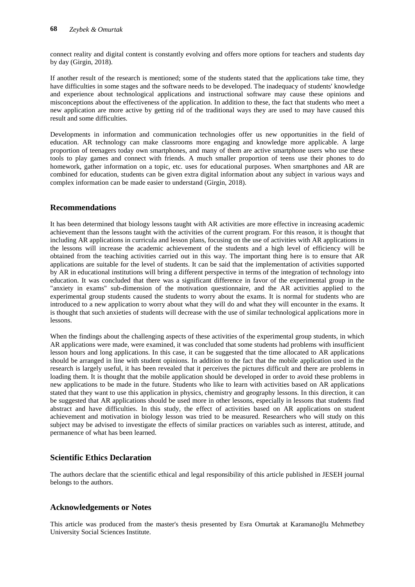connect reality and digital content is constantly evolving and offers more options for teachers and students day by day (Girgin, 2018).

If another result of the research is mentioned; some of the students stated that the applications take time, they have difficulties in some stages and the software needs to be developed. The inadequacy of students' knowledge and experience about technological applications and instructional software may cause these opinions and misconceptions about the effectiveness of the application. In addition to these, the fact that students who meet a new application are more active by getting rid of the traditional ways they are used to may have caused this result and some difficulties.

Developments in information and communication technologies offer us new opportunities in the field of education. AR technology can make classrooms more engaging and knowledge more applicable. A large proportion of teenagers today own smartphones, and many of them are active smartphone users who use these tools to play games and connect with friends. A much smaller proportion of teens use their phones to do homework, gather information on a topic, etc. uses for educational purposes. When smartphones and AR are combined for education, students can be given extra digital information about any subject in various ways and complex information can be made easier to understand (Girgin, 2018).

### **Recommendations**

It has been determined that biology lessons taught with AR activities are more effective in increasing academic achievement than the lessons taught with the activities of the current program. For this reason, it is thought that including AR applications in curricula and lesson plans, focusing on the use of activities with AR applications in the lessons will increase the academic achievement of the students and a high level of efficiency will be obtained from the teaching activities carried out in this way. The important thing here is to ensure that AR applications are suitable for the level of students. It can be said that the implementation of activities supported by AR in educational institutions will bring a different perspective in terms of the integration of technology into education. It was concluded that there was a significant difference in favor of the experimental group in the "anxiety in exams" sub-dimension of the motivation questionnaire, and the AR activities applied to the experimental group students caused the students to worry about the exams. It is normal for students who are introduced to a new application to worry about what they will do and what they will encounter in the exams. It is thought that such anxieties of students will decrease with the use of similar technological applications more in lessons.

When the findings about the challenging aspects of these activities of the experimental group students, in which AR applications were made, were examined, it was concluded that some students had problems with insufficient lesson hours and long applications. In this case, it can be suggested that the time allocated to AR applications should be arranged in line with student opinions. In addition to the fact that the mobile application used in the research is largely useful, it has been revealed that it perceives the pictures difficult and there are problems in loading them. It is thought that the mobile application should be developed in order to avoid these problems in new applications to be made in the future. Students who like to learn with activities based on AR applications stated that they want to use this application in physics, chemistry and geography lessons. In this direction, it can be suggested that AR applications should be used more in other lessons, especially in lessons that students find abstract and have difficulties. In this study, the effect of activities based on AR applications on student achievement and motivation in biology lesson was tried to be measured. Researchers who will study on this subject may be advised to investigate the effects of similar practices on variables such as interest, attitude, and permanence of what has been learned.

## **Scientific Ethics Declaration**

The authors declare that the scientific ethical and legal responsibility of this article published in JESEH journal belongs to the authors.

## **Acknowledgements or Notes**

This article was produced from the master's thesis presented by Esra Omurtak at Karamanoğlu Mehmetbey University Social Sciences Institute.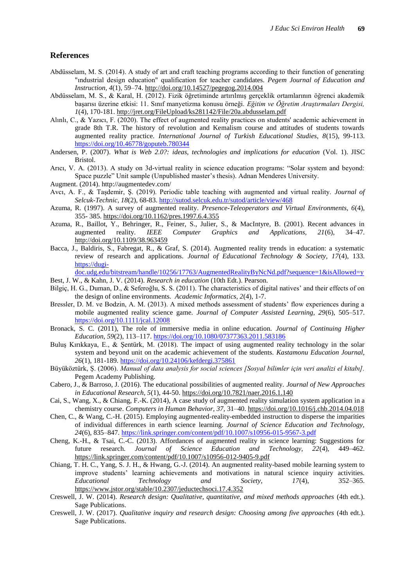#### **References**

- Abdüsselam, M. S. (2014). A study of art and craft teaching programs according to their function of generating "ındustrial design education" qualification for teacher candidates. *Pegem Journal of Education and Instruction, 4*(1), 59–74.<http://doi.org/10.14527/pegegog.2014.004>
- Abdüsselam, M. S., & Karal, H. (2012). Fizik öğretiminde artırılmış gerçeklik ortamlarının öğrenci akademik başarısı üzerine etkisi: 11. Sınıf manyetizma konusu örneği. *Eğitim ve Öğretim Araştırmaları Dergisi, 1*(4), 170-181.<http://jret.org/FileUpload/ks281142/File/20a.abdusselam.pdf>
- Alınlı, C., & Yazıcı, F. (2020). The effect of augmented reality practices on students' academic achievement in grade 8th T.R. The history of revolution and Kemalism course and attitudes of students towards augmented reality practice. *International Journal of Turkish Educational Studies, 8*(15), 99-113. <https://doi.org/10.46778/goputeb.780344>
- Andersen, P. (2007). *What is Web 2.0?: ideas, technologies and implications for education* (Vol. 1). JISC Bristol.
- Arıcı, V. A. (2013). A study on 3d-virtual reality in science education programs: "Solar system and beyond: Space puzzle" Unit sample (Unpublished master's thesis). Adnan Menderes University.
- Augment. (2014). http://augmentedev.com/
- Avcı, A. F., & Taşdemir, Ş. (2019). Periodic table teaching with augmented and virtual reality. *Journal of Selcuk-Technic, 18*(2), 68-83[. http://sutod.selcuk.edu.tr/sutod/article/view/468](http://sutod.selcuk.edu.tr/sutod/article/view/468)
- Azuma, R. (1997). A survey of augmented reality. *Presence-Teleoperators and Virtual Environments, 6*(4), 355- 385.<https://doi.org/10.1162/pres.1997.6.4.355>
- Azuma, R., Baillot, Y., Behringer, R., Feiner, S., Julier, S., & MacIntyre, B. (2001). Recent advances in augmented reality. *IEEE Computer Graphics and Applications, 21*(6), 34–47. <http://doi.org/10.1109/38.963459>
- Bacca, J., Baldiris, S., Fabregat, R., & Graf, S. (2014). Augmented reality trends in education: a systematic review of research and applications. *Journal of Educational Technology & Society, 17*(4), 133. [https://dugi-](https://dugi-doc.udg.edu/bitstream/handle/10256/17763/AugmentedRealityByNcNd.pdf?sequence=1&isAllowed=y)

[doc.udg.edu/bitstream/handle/10256/17763/AugmentedRealityByNcNd.pdf?sequence=1&isAllowed=y](https://dugi-doc.udg.edu/bitstream/handle/10256/17763/AugmentedRealityByNcNd.pdf?sequence=1&isAllowed=y)

- Best, J. W., & Kahn, J. V. (2014). *Research in education* (10th Edt.). Pearson.
- Bilgiç, H. G., Duman, D., & Seferoğlu, S. S. (2011). The characteristics of digital natives' and their effects of on the design of online environments. *Academic Informatics, 2*(4), 1-7.
- Bressler, D. M. ve Bodzin, A. M. (2013). A mixed methods assessment of students' flow experiences during a mobile augmented reality science game. *Journal of Computer Assisted Learning, 29*(6), 505–517. <https://doi.org/10.1111/jcal.12008>
- Bronack, S. C. (2011), The role of immersive media in online education. *Journal of Continuing Higher Education, 59*(2), 113–117.<https://doi.org/10.1080/07377363.2011.583186>
- Buluş Kırıkkaya, E., & Şentürk, M. (2018). The impact of using augmented reality technology in the solar system and beyond unit on the academic achievement of the students. *Kastamonu Education Journal, 26*(1), 181-189.<https://doi.org/10.24106/kefdergi.375861>
- Büyüköztürk, Ş. (2006). *Manual of data analysis for social sciences [Sosyal bilimler için veri analizi el kitabı].* Pegem Academy Publishing.
- Cabero, J., & Barroso, J. (2016). The educational possibilities of augmented reality. *Journal of New Approaches in Educational Research, 5*(1), 44-50.<https://doi.org/10.7821/naer.2016.1.140>
- Cai, S., Wang, X., & Chiang, F.-K. (2014), A case study of augmented reality simulation system application in a chemistry course. *Computers in Human Behavior, 37,* 31–40.<https://doi.org/10.1016/j.chb.2014.04.018>
- Chen, C., & Wang, C.-H. (2015). Employing augmented-reality-embedded instruction to disperse the imparities of individual differences in earth science learning. *Journal of Science Education and Technology, 24*(6), 835–847.<https://link.springer.com/content/pdf/10.1007/s10956-015-9567-3.pdf>
- Cheng, K.-H., & Tsai, C.-C. (2013). Affordances of augmented reality in science learning: Suggestions for future research. *Journal of Science Education and Technology, 22*(4), 449–462. <https://link.springer.com/content/pdf/10.1007/s10956-012-9405-9.pdf>
- Chiang, T. H. C., Yang, S. J. H., & Hwang, G.-J. (2014). An augmented reality-based mobile learning system to improve students' learning achievements and motivations in natural science inquiry activities. *Educational Technology and Society, 17*(4), 352–365. <https://www.jstor.org/stable/10.2307/jeductechsoci.17.4.352>
- Creswell, J. W. (2014). *Research design: Qualitative, quantitative, and mixed methods approaches* (4th edt.). Sage Publications.
- Creswell, J. W. (2017). *Qualitative inquiry and research design: Choosing among five approaches* (4th edt.). Sage Publications.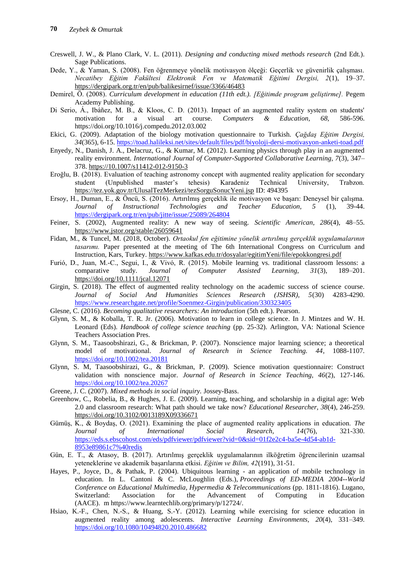- Creswell, J. W., & Plano Clark, V. L. (2011). *Designing and conducting mixed methods research* (2nd Edt.). Sage Publications.
- Dede, Y., & Yaman, S. (2008). Fen öğrenmeye yönelik motivasyon ölçeği: Geçerlik ve güvenirlik çalışması. *Necatibey Eğitim Fakültesi Elektronik Fen ve Matematik Eğitimi Dergisi, 2*(1), 19–37. <https://dergipark.org.tr/en/pub/balikesirnef/issue/3366/46483>
- Demirel, Ö. (2008). *Curriculum development in education (11th edt.). [Eğitimde program geliştirme].* Pegem Academy Publishing.
- Di Serio, Á., Ibáñez, M. B., & Kloos, C. D. (2013). Impact of an augmented reality system on students' motivation for a visual art course. *Computers & Education, 68,* 586-596. <https://doi.org/10.1016/j.compedu.2012.03.002>
- Ekici, G. (2009). Adaptation of the biology motivation questionnaire to Turkish. *Çağdaş Eğitim Dergisi, 34*(365), 6-15.<https://toad.halileksi.net/sites/default/files/pdf/biyoloji-dersi-motivasyon-anketi-toad.pdf>
- Enyedy, N., Danish, J. A., Delacruz, G., & Kumar, M. (2012). Learning physics through play in an augmented reality environment. *International Journal of Computer-Supported Collaborative Learning, 7*(3), 347– 378. [https://10.1007/s11412-012-9150-3](https://10.0.3.239/s11412-012-9150-3)
- Eroğlu, B. (2018). Evaluation of teaching astronomy concept with augmented reality application for secondary student (Unpublished master's tehesis) Karadeniz Technical University, Trabzon. <https://tez.yok.gov.tr/UlusalTezMerkezi/tezSorguSonucYeni.jsp> ID: 494395
- Ersoy, H., Duman, E., & Öncü, S. (2016). Artırılmış gerçeklik ile motivasyon ve başarı: Deneysel bir çalışma. *Journal of Instructional Technologies and Teacher Education, 5* (1), 39-44. <https://dergipark.org.tr/en/pub/jitte/issue/25089/264804>
- Feiner, S. (2002), Augmented reality: A new way of seeing. *Scientific American, 286*(4), 48–55. <https://www.jstor.org/stable/26059641>
- Fidan, M., & Tuncel, M. (2018, October). *Ortaokul fen eğitimine yönelik artırılmış gerçeklik uygulamalarının tasarımı.* Paper presented at the meeting of The 6th International Congress on Curriculum and Instruction, Kars, Turkey.<https://www.kafkas.edu.tr/dosyalar/egitimYeni/file/epokkongresi.pdf>
- Furió, D., Juan, M.-C., Segui, I., & Vivó, R. (2015). Mobile learning vs. traditional classroom lessons: a comparative study. *Journal of Computer Assisted Learning, 31*(3), 189–201. <https://doi.org/10.1111/jcal.12071>
- Girgin, S. (2018). The effect of augmented reality technology on the academic success of science course. *Journal of Social And Humanities Sciences Research (JSHSR), 5*(30) 4283-4290. <https://www.researchgate.net/profile/Soenmez-Girgin/publication/330323405>
- Glesne, C. (2016). *Becoming qualitative researchers: An introduction* (5th edt.). Pearson.
- Glynn, S. M., & Koballa, T. R. Jr. (2006). Motivation to learn in college science. In J. Mintzes and W. H. Leonard (Eds). *Handbook of college science teaching* (pp. 25-32). Arlington, VA: National Science Teachers Association Pres.
- Glynn, S. M., Taasoobshirazi, G., & Brickman, P. (2007). Nonscience major learning science; a theoretical model of motivational. *Journal of Research in Science Teaching. 44*, 1088-1107. <https://doi.org/10.1002/tea.20181>
- Glynn, S. M, Taasoobshirazi, G., & Brickman, P. (2009). Science motivation questionnaire: Construct validation with nonscience major. *Journal of Research in Science Teaching, 46*(2), 127-146. <https://doi.org/10.1002/tea.20267>
- Greene, J. C. (2007). *Mixed methods in social inquiry.* Jossey-Bass.
- Greenhow, C., Robelia, B., & Hughes, J. E. (2009). Learning, teaching, and scholarship in a digital age: Web 2.0 and classroom research: What path should we take now? *Educational Researcher, 38*(4), 246-259. <https://doi.org/10.3102/0013189X09336671>
- Gümüş, K., & Boydaş, O. (2021). Examining the place of augmented reality applications in education. *The Journal of International Social Research, 14*(76), 321-330. [https://eds.s.ebscohost.com/eds/pdfviewer/pdfviewer?vid=0&sid=01f2e2c4-ba5e-4d54-ab1d-](https://eds.s.ebscohost.com/eds/pdfviewer/pdfviewer?vid=0&sid=01f2e2c4-ba5e-4d54-ab1d-8953e89861c7%40redis)[8953e89861c7%40redis](https://eds.s.ebscohost.com/eds/pdfviewer/pdfviewer?vid=0&sid=01f2e2c4-ba5e-4d54-ab1d-8953e89861c7%40redis)
- Gün, E. T., & Atasoy, B. (2017). Artırılmış gerçeklik uygulamalarının ilköğretim öğrencilerinin uzamsal yeteneklerine ve akademik başarılarına etkisi. *Eğitim ve Bilim, 42*(191), 31-51.
- Hayes, P., Joyce, D., & Pathak, P. (2004). Ubiquitous learning an application of mobile technology in education. In L. Cantoni & C. McLoughlin (Eds.), *Proceedings of ED-MEDIA 2004--World Conference on Educational Multimedia, Hypermedia & Telecommunications* (pp. 1811-1816). Lugano, Switzerland: Association for the Advancement of Computing in Education (AACE). m [https://www.learntechlib.org/primary/p/12724/.](https://www.learntechlib.org/primary/p/12724/)
- Hsiao, K.-F., Chen, N.-S., & Huang, S.-Y. (2012). Learning while exercising for science education in augmented reality among adolescents. *Interactive Learning Environments, 20*(4), 331–349. <https://doi.org/10.1080/10494820.2010.486682>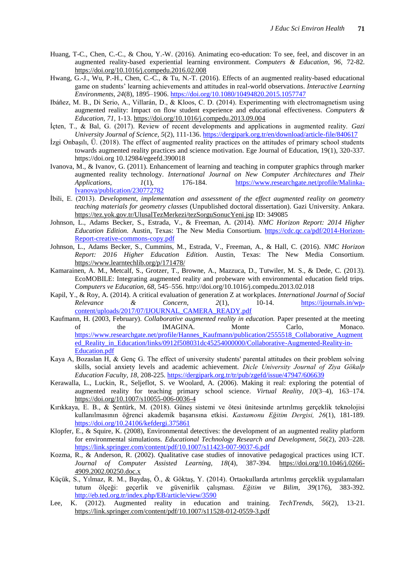- Huang, T-C., Chen, C.-C., & Chou, Y.-W. (2016). Animating eco-education: To see, feel, and discover in an augmented reality-based experiential learning environment. *Computers & Education, 96,* 72-82. <https://doi.org/10.1016/j.compedu.2016.02.008>
- Hwang, G.-J., Wu, P.-H., Chen, C.-C., & Tu, N.-T. (2016). Effects of an augmented reality-based educational game on students' learning achievements and attitudes in real-world observations. *Interactive Learning Environments, 24*(8), 1895–1906[. https://doi.org/10.1080/10494820.2015.1057747](https://doi.org/10.1080/10494820.2015.1057747)
- Ibáñez, M. B., Di Serio, A., Villarán, D., & Kloos, C. D. (2014). Experimenting with electromagnetism using augmented reality: Impact on flow student experience and educational effectiveness. *Computers & Education, 71,* 1-13.<https://doi.org/10.1016/j.compedu.2013.09.004>
- İçten, T., & Bal, G. (2017). Review of recent developments and applications in augmented reality. *Gazi University Journal of Science, 5*(2), 111-136.<https://dergipark.org.tr/en/download/article-file/840617>
- İzgi Onbaşılı, Ü. (2018). The effect of augmented reality practices on the attitudes of primary school students towards augmented reality practices and science motivation. Ege Journal of Education, 19(1), 320-337. https://doi.org 10.12984/egeefd.390018
- Ivanova, M., & Ivanov, G. (2011). Enhancement of learning and teaching in computer graphics through marker augmented reality technology. *International Journal on New Computer Architectures and Their Applications, 1*(1), 176-184. [https://www.researchgate.net/profile/Malinka-](https://www.researchgate.net/profile/Malinka-Ivanova/publication/230772782)[Ivanova/publication/230772782](https://www.researchgate.net/profile/Malinka-Ivanova/publication/230772782)
- İbili, E. (2013). *Development, implementation and assessment of the effect augmented reality on geometry teaching materials for geometry classes* (Unpublished doctoral dissertation). Gazi University. Ankara. <https://tez.yok.gov.tr/UlusalTezMerkezi/tezSorguSonucYeni.jsp> ID: 349085
- Johnson, L., Adams Becker, S., Estrada, V., & Freeman, A. (2014). *NMC Horizon Report: 2014 Higher Education Edition.* Austin, Texas: The New Media Consortium. [https://cdc.qc.ca/pdf/2014-Horizon-](https://cdc.qc.ca/pdf/2014-Horizon-Report-creative-commons-copy.pdf)[Report-creative-commons-copy.pdf](https://cdc.qc.ca/pdf/2014-Horizon-Report-creative-commons-copy.pdf)
- Johnson, L., Adams Becker, S., Cummins, M., Estrada, V., Freeman, A., & Hall, C. (2016). *NMC Horizon Report: 2016 Higher Education Edition.* Austin, Texas: The New Media Consortium. <https://www.learntechlib.org/p/171478/>
- Kamarainen, A. M., Metcalf, S., Grotzer, T., Browne, A., Mazzuca, D., Tutwiler, M. S., & Dede, C. (2013). EcoMOBILE: Integrating augmented reality and probeware with environmental education field trips. *Computers ve Education, 68,* 545–556. http://doi.org/10.1016/j.compedu.2013.02.018
- Kapil, Y., & Roy, A. (2014). A critical evaluation of generation Z at workplaces. *International Journal of Social Relevance & Concern, 2*(1), 10-14. [https://ijournals.in/wp](https://ijournals.in/wp-content/uploads/2017/07/IJOURNAL_CAMERA_READY.pdf)[content/uploads/2017/07/IJOURNAL\\_CAMERA\\_READY.pdf](https://ijournals.in/wp-content/uploads/2017/07/IJOURNAL_CAMERA_READY.pdf)
- Kaufmann, H. (2003, February). *Collaborative augmented reality in education.* Paper presented at the meeting of the IMAGINA. Monte Carlo, Monaco. [https://www.researchgate.net/profile/Hannes\\_Kaufmann/publication/2555518\\_Collaborative\\_Augment](https://www.researchgate.net/profile/Hannes_Kaufmann/publication/2555518_Collaborative_Augmented_Reality_in_Education/links/0912f508031dc45254000000/Collaborative-Augmented-Reality-in-Education.pdf) [ed\\_Reality\\_in\\_Education/links/0912f508031dc45254000000/Collaborative-Augmented-Reality-in-](https://www.researchgate.net/profile/Hannes_Kaufmann/publication/2555518_Collaborative_Augmented_Reality_in_Education/links/0912f508031dc45254000000/Collaborative-Augmented-Reality-in-Education.pdf)[Education.pdf](https://www.researchgate.net/profile/Hannes_Kaufmann/publication/2555518_Collaborative_Augmented_Reality_in_Education/links/0912f508031dc45254000000/Collaborative-Augmented-Reality-in-Education.pdf)
- Kaya A, Bozaslan H, & Genç G. The effect of university students' parental attitudes on their problem solving skills, social anxiety levels and academic achievement. *Dicle University Journal of Ziya Gökalp Education Faculty, 18,* 208-225.<https://dergipark.org.tr/tr/pub/zgefd/issue/47947/606639>
- Kerawalla, L., Luckin, R., Seljeflot, S. ve Woolard, A. (2006). Making it real: exploring the potential of augmented reality for teaching primary school science. *Virtual Reality, 10*(3–4), 163–174. <https://doi.org/10.1007/s10055-006-0036-4>
- Kırıkkaya, E. B., & Şentürk, M. (2018). Güneş sistemi ve ötesi ünitesinde artırılmış gerçeklik teknolojisi kullanılmasının öğrenci akademik başarısına etkisi. *Kastamonu Eğitim Dergisi, 26*(1), 181-189. <https://doi.org/10.24106/kefdergi.375861>
- Klopfer, E., & Squire, K. (2008), Environmental detectives: the development of an augmented reality platform for environmental simulations. *Educational Technology Research and Development, 56*(2), 203–228. <https://link.springer.com/content/pdf/10.1007/s11423-007-9037-6.pdf>
- Kozma, R., & Anderson, R. (2002). Qualitative case studies of innovative pedagogical practices using ICT. *Journal of Computer Assisted Learning, 18*(4), 387-394. [https://doi.org/10.1046/j.0266-](https://doi.org/10.1046/j.0266-4909.2002.00250.doc.x) [4909.2002.00250.doc.x](https://doi.org/10.1046/j.0266-4909.2002.00250.doc.x)
- Küçük, S., Yılmaz, R. M., Baydaş, Ö., & Göktaş, Y. (2014). Ortaokullarda artırılmış gerçeklik uygulamaları tutum ölçeği: geçerlik ve güvenirlik çalışması. *Eğitim ve Bilim, 39*(176), 383-392. <http://eb.ted.org.tr/index.php/EB/article/view/3590>
- Lee, K. (2012). Augmented reality in education and training. *TechTrends, 56*(2), 13-21. <https://link.springer.com/content/pdf/10.1007/s11528-012-0559-3.pdf>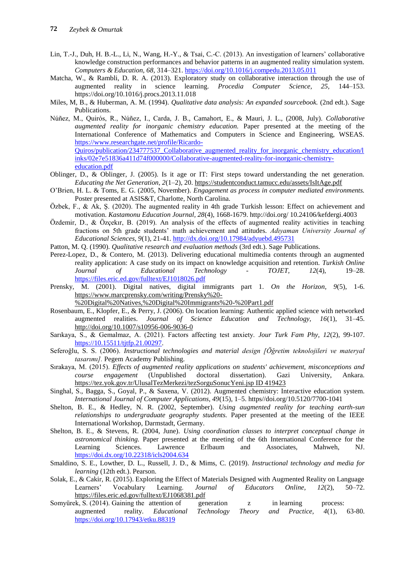- Lin, T.-J., Duh, H. B.-L., Li, N., Wang, H.-Y., & Tsai, C.-C. (2013). An investigation of learners' collaborative knowledge construction performances and behavior patterns in an augmented reality simulation system. *Computers & Education, 68,* 314–321.<https://doi.org/10.1016/j.compedu.2013.05.011>
- Matcha, W., & Rambli, D. R. A. (2013). Exploratory study on collaborative interaction through the use of augmented reality in science learning. *Procedia Computer Science, 25,* 144–153. <https://doi.org/10.1016/j.procs.2013.11.018>
- Miles, M, B., & Huberman, A. M. (1994). *Qualitative data analysis: An expanded sourcebook.* (2nd edt.). Sage Publications.
- Núñez, M., Quirós, R., Núñez, I., Carda, J. B., Camahort, E., & Mauri, J. L., (2008, July). *Collaborative augmented reality for inorganic chemistry education.* Paper presented at the meeting of the International Conference of Mathematics and Computers in Science and Engineering, WSEAS. [https://www.researchgate.net/profile/Ricardo-](https://www.researchgate.net/profile/Ricardo-Quiros/publication/234777537_Collaborative_augmented_reality_for_inorganic_chemistry_education/links/02e7e51836a411d74f000000/Collaborative-augmented-reality-for-inorganic-chemistry-education.pdf)[Quiros/publication/234777537\\_Collaborative\\_augmented\\_reality\\_for\\_inorganic\\_chemistry\\_education/l](https://www.researchgate.net/profile/Ricardo-Quiros/publication/234777537_Collaborative_augmented_reality_for_inorganic_chemistry_education/links/02e7e51836a411d74f000000/Collaborative-augmented-reality-for-inorganic-chemistry-education.pdf) [inks/02e7e51836a411d74f000000/Collaborative-augmented-reality-for-inorganic-chemistry](https://www.researchgate.net/profile/Ricardo-Quiros/publication/234777537_Collaborative_augmented_reality_for_inorganic_chemistry_education/links/02e7e51836a411d74f000000/Collaborative-augmented-reality-for-inorganic-chemistry-education.pdf)[education.pdf](https://www.researchgate.net/profile/Ricardo-Quiros/publication/234777537_Collaborative_augmented_reality_for_inorganic_chemistry_education/links/02e7e51836a411d74f000000/Collaborative-augmented-reality-for-inorganic-chemistry-education.pdf)
- Oblinger, D., & Oblinger, J. (2005). Is it age or IT: First steps toward understanding the net generation. *Educating the Net Generation, 2*(1–2), 20.<https://studentconduct.tamucc.edu/assets/IsItAge.pdf>
- O'Brien, H. L. & Toms, E. G. (2005, November). *Engagement as process in computer mediated environments.* Poster presented at ASIS&T, Charlotte, North Carolina.
- Özbek, F., & Ak, Ş. (2020). The augmented reality in 4th grade Turkish lesson: Effect on achievement and motivation. *Kastamonu Education Journal, 28*(4), 1668-1679. http://doi.org/ 10.24106/kefdergi.4003
- Özdemir, D., & Özçekır, B. (2019). An analysis of the effects of augmented reality activities in teaching fractions on 5th grade students' math achievement and attitudes. *Adıyaman University Journal of Educational Sciences, 9*(1), 21-41.<http://dx.doi.org/10.17984/adyuebd.495731>
- Patton, M. Q. (1990). *Qualitative research and evaluation methods* (3rd edt.). Sage Publications.
- Perez-Lopez, D., & Contero, M. (2013). Delivering educational multimedia contents through an augmented reality application: A case study on its impact on knowledge acquisition and retention. *Turkish Online Journal of Educational Technology - TOJET, 12*(4), 19–28. <https://files.eric.ed.gov/fulltext/EJ1018026.pdf>
- Prensky, M. (2001). Digital natives, digital immigrants part 1. *On the Horizon, 9*(5), 1-6. [https://www.marcprensky.com/writing/Prensky%20-](https://www.marcprensky.com/writing/Prensky%20-%20Digital%20Natives,%20Digital%20Immigrants%20-%20Part1.pdf)

[%20Digital%20Natives,%20Digital%20Immigrants%20-%20Part1.pdf](https://www.marcprensky.com/writing/Prensky%20-%20Digital%20Natives,%20Digital%20Immigrants%20-%20Part1.pdf)

- Rosenbaum, E., Klopfer, E., & Perry, J. (2006). On location learning: Authentic applied science with networked augmented realities. *Journal of Science Education and Technology, 16*(1), 31–45. <http://doi.org/10.1007/s10956-006-9036-0>
- Sarıkaya, S., & Gemalmaz, A. (2021). Factors affecting test anxiety. *Jour Turk Fam Phy, 12*(2), 99-107. [https://10.15511/tjtfp.21.00297.](https://10.0.60.151/tjtfp.21.00297)
- Seferoğlu, S. S. (2006). *Instructional technologies and material design [Öğretim teknolojileri ve materyal tasarımı].* Pegem Academy Publishing.
- Sırakaya, M. (2015). *Effects of augmented reality applications on students' achievement, misconceptions and course engagement* (Unpublished doctoral dissertation). Gazi University, Ankara. [https://tez.yok.gov.tr/UlusalTezMerkezi/tezSorguSonucYeni.jsp ID 419423](https://tez.yok.gov.tr/UlusalTezMerkezi/tezSorguSonucYeni.jsp%20ID%20419423)
- Singhal, S., Bagga, S., Goyal, P., & Saxena, V. (2012). Augmented chemistry: Interactive education system. *International Journal of Computer Applications, 49*(15), 1–5. https//doi.org/10.5120/7700-1041
- Shelton, B. E., & Hedley, N. R. (2002, September). *Using augmented reality for teaching earth-sun relationships to undergraduate geography students.* Paper presented at the meeting of the IEEE International Workshop, Darmstadt, Germany.
- Shelton, B. E., & Stevens, R. (2004, June). *Using coordination classes to interpret conceptual change in astronomical thinking.* Paper presented at the meeting of the 6th International Conference for the Learning Sciences. Lawrence Erlbaum and Associates, Mahweh, NJ. <https://doi.dx.org/10.22318/icls2004.634>
- Smaldino, S. E., Lowther, D. L., Russell, J. D., & Mims, C. (2019). *Instructional technology and media for learning* (12th edt.). Pearson.
- Solak, E., & Cakir, R. (2015). Exploring the Effect of Materials Designed with Augmented Reality on Language Learners' Vocabulary Learning. *Journal of Educators Online, 12*(2), 50–72. <https://files.eric.ed.gov/fulltext/EJ1068381.pdf>
- Somyürek, S. (2014). Gaining the attention of generation z in learning process: augmented reality. *Educational Technology Theory and Practice, 4*(1), 63-80. <https://doi.org/10.17943/etku.88319>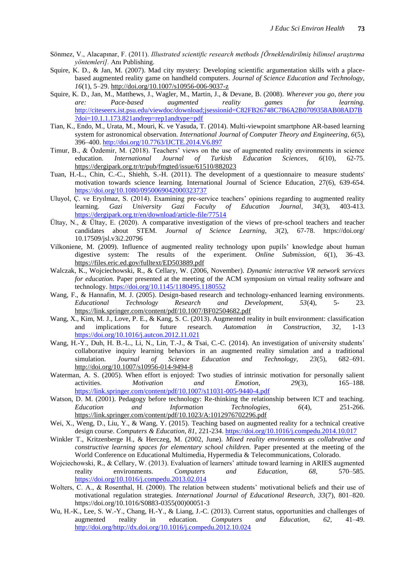- Sönmez, V., Alacapınar, F. (2011). *Illustrated scientific research methods [Örneklendirilmiş bilimsel araştırma yöntemleri].* Anı Publishing.
- Squire, K. D., & Jan, M. (2007). Mad city mystery: Developing scientific argumentation skills with a placebased augmented reality game on handheld computers. *Journal of Science Education and Technology, 16*(1), 5–29.<http://doi.org/10.1007/s10956-006-9037-z>
- Squire, K. D., Jan, M., Matthews, J., Wagler, M., Martin, J., & Devane, B. (2008). *Wherever you go, there you are: Pace-based augmented reality games for learning.*  [http://citeseerx.ist.psu.edu/viewdoc/download;jsessionid=C82FB26748C7B6A2B0709358AB08AD7B](http://citeseerx.ist.psu.edu/viewdoc/download;jsessionid=C82FB26748C7B6A2B0709358AB08AD7B?doi=10.1.1.173.821andrep=rep1andtype=pdf) [?doi=10.1.1.173.821andrep=rep1andtype=pdf](http://citeseerx.ist.psu.edu/viewdoc/download;jsessionid=C82FB26748C7B6A2B0709358AB08AD7B?doi=10.1.1.173.821andrep=rep1andtype=pdf)
- Tian, K., Endo, M., Urata, M., Mouri, K. ve Yasuda, T. (2014). Multi-viewpoint smartphone AR-based learning system for astronomical observation. *International Journal of Computer Theory and Engineering, 6*(5), 396–400[. http://doi.org/10.7763/IJCTE.2014.V6.897](http://doi.org/10.7763/IJCTE.2014.V6.897)
- Timur, B., & Özdemir, M. (2018). Teachers' views on the use of augmented reality environments in science education. *International Journal of Turkish Education Sciences, 6*(10), 62-75. <https://dergipark.org.tr/tr/pub/fmgted/issue/61510/882023>
- Tuan, H.-L., Chin, C.-C., Shiehh, S.-H. (2011). The development of a questionnaire to measure students' motivation towards science learning. International Journal of Science Education, 27(6), 639-654. <https://doi.org/10.1080/0950069042000323737>
- Uluyol, Ç. ve Eryılmaz, S. (2014). Examining pre-service teachers' opinions regarding to augmented reality learning. *Gazi University Gazi Faculty of Education Journal, 34*(3), 403-413. <https://dergipark.org.tr/en/download/article-file/77514>
- Ültay, N., & Ültay, E. (2020). A comparative investigation of the views of pre-school teachers and teacher candidates about STEM. *Journal of Science Learning, 3*(2), 67-78. https://doi.org/ 10.17509/jsl.v3i2.20796
- Vilkoniene, M. (2009). Influence of augmented reality technology upon pupils' knowledge about human digestive system: The results of the experiment. *Online Submission, 6*(1), 36–43. <https://files.eric.ed.gov/fulltext/ED503889.pdf>
- Walczak, K., Wojciechowski, R., & Cellary, W. (2006, November). *Dynamic interactive VR network services for education.* Paper presented at the meeting of the ACM symposium on virtual reality software and technology.<https://doi.org/10.1145/1180495.1180552>
- Wang, F., & Hannafin, M. J. (2005). Design-based research and technology-enhanced learning environments. *Educational Technology Research and Development, 53*(4), 5- 23. <https://link.springer.com/content/pdf/10.1007/BF02504682.pdf>
- Wang, X., Kim, M. J., Love, P. E., & Kang, S. C. (2013). Augmented reality in built environment: classification and implications for future research. *Automation in Construction, 32,* 1-13 <https://doi.org/10.1016/j.autcon.2012.11.021>
- Wang, H.-Y., Duh, H. B.-L., Li, N., Lin, T.-J., & Tsai, C.-C. (2014). An investigation of university students' collaborative inquiry learning behaviors in an augmented reality simulation and a traditional simulation. *Journal of Science Education and Technology, 23*(5), 682–691. <http://doi.org/10.1007/s10956-014-9494-8>
- Waterman, A. S. (2005). When effort is enjoyed: Two studies of intrinsic motivation for personally salient activities. *Motivation and Emotion, 29*(3), 165–188. <https://link.springer.com/content/pdf/10.1007/s11031-005-9440-4.pdf>
- Watson, D. M. (2001). Pedagogy before technology: Re-thinking the relationship between ICT and teaching. *Education and Information Technologies, 6*(4), 251-266. <https://link.springer.com/content/pdf/10.1023/A:1012976702296.pdf>
- Wei, X., Weng, D., Liu, Y., & Wang, Y. (2015). Teaching based on augmented reality for a technical creative design course. *Computers & Education, 81,* 221-234.<https://doi.org/10.1016/j.compedu.2014.10.017>
- Winkler T., Kritzenberge H., & Herczeg, M. (2002, June). *Mixed reality environments as collabrative and constructive learning spaces for elementary school children.* Paper presented at the meeting of the World Conference on Educational Multimedia, Hypermedia & Telecommunications, Colorado.
- Wojciechowski, R., & Cellary, W. (2013). Evaluation of learners' attitude toward learning in ARIES augmented reality environments. *Computers and Education, 68,* 570–585. <https://doi.org/10.1016/j.compedu.2013.02.014>
- Wolters, C. A., & Rosenthal, H. (2000). The relation between students' motivational beliefs and their use of motivational regulation strategies. *International Journal of Educational Research, 33*(7), 801–820. [https://doi.org/10.1016/S0883-0355\(00\)00051-3](https://doi.org/10.1016/S0883-0355(00)00051-3)
- Wu, H.-K., Lee, S. W.-Y., Chang, H.-Y., & Liang, J.-C. (2013). Current status, opportunities and challenges of augmented reality in education. *Computers and Education, 62,* 41–49. [http://doi.org/http://dx.doi.org/10.1016/j.compedu.2012.10.024](http://doi.org/http:/dx.doi.org/10.1016/j.compedu.2012.10.024)